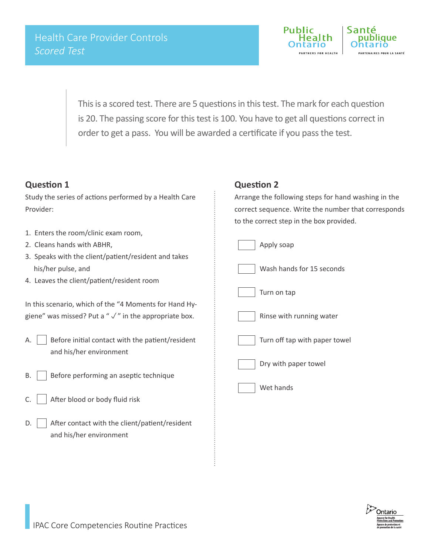

This is a scored test. There are 5 questions in this test. The mark for each question is 20. The passing score for this test is 100. You have to get all questions correct in order to get a pass. You will be awarded a certificate if you pass the test.

### **Question 1**

Study the series of actions performed by a Health Care Provider:

- 1. Enters the room/clinic exam room,
- 2. Cleans hands with ABHR,
- 3. Speaks with the client/patient/resident and takes his/her pulse, and
- 4. Leaves the client/patient/resident room

| In this scenario, which of the "4 Moments for Hand Hy-          |
|-----------------------------------------------------------------|
| giene" was missed? Put a " $\sqrt{ }$ " in the appropriate box. |

- A.  $\vert \vert$  Before initial contact with the patient/resident and his/her environment
- B. | Before performing an aseptic technique
- $C.$  After blood or body fluid risk
- D. After contact with the client/patient/resident and his/her environment

#### **Question 2**

Arrange the following steps for hand washing in the correct sequence. Write the number that corresponds to the correct step in the box provided.

| Apply soap                    |
|-------------------------------|
| Wash hands for 15 seconds     |
| Turn on tap                   |
| Rinse with running water      |
| Turn off tap with paper towel |
| Dry with paper towel          |
| Wet hands                     |
|                               |

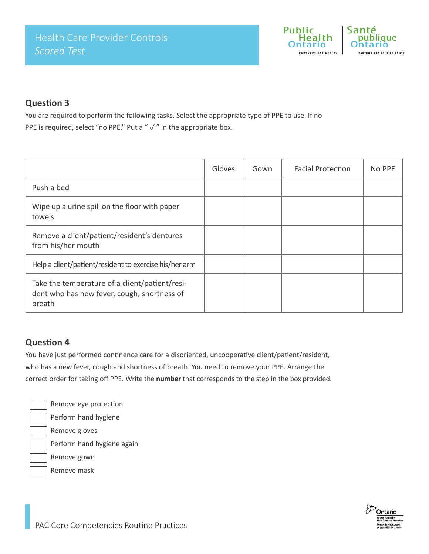

# **Question 3**

You are required to perform the following tasks. Select the appropriate type of PPE to use. If no PPE is required, select "no PPE." Put a " $\sqrt{ }$ " in the appropriate box.

|                                                                                                         | Gloves | Gown | <b>Facial Protection</b> | No PPE |
|---------------------------------------------------------------------------------------------------------|--------|------|--------------------------|--------|
| Push a bed                                                                                              |        |      |                          |        |
| Wipe up a urine spill on the floor with paper<br>towels                                                 |        |      |                          |        |
| Remove a client/patient/resident's dentures<br>from his/her mouth                                       |        |      |                          |        |
| Help a client/patient/resident to exercise his/her arm                                                  |        |      |                          |        |
| Take the temperature of a client/patient/resi-<br>dent who has new fever, cough, shortness of<br>breath |        |      |                          |        |

# **Question 4**

You have just performed continence care for a disoriented, uncooperative client/patient/resident, who has a new fever, cough and shortness of breath. You need to remove your PPE. Arrange the correct order for taking off PPE. Write the **number** that corresponds to the step in the box provided.

Remove eye protection Perform hand hygiene Remove gloves Perform hand hygiene again Remove gown Remove mask